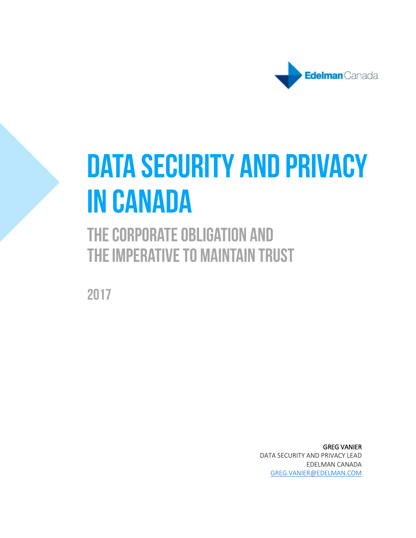

# **DATA SECURITY AND PRIVACY IN CANADA**

# THE CORPORATE OBLIGATION AND THE IMPERATIVE TO MAINTAIN TRUST

2017

GREG VANIER DATA SECURITY AND PRIVACY LEAD EDELMAN CANADA [GREG.VANIER@EDELMAN.COM](mailto:greg.vanier@edelman.com)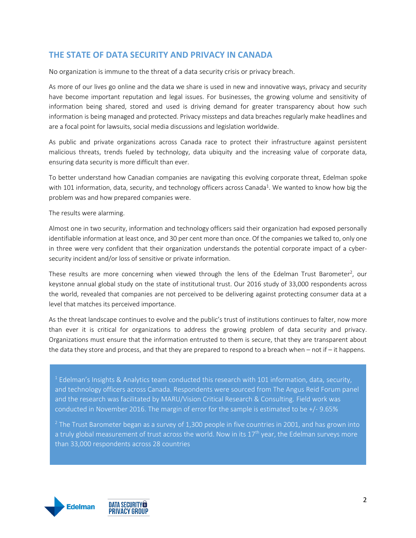# **THE STATE OF DATA SECURITY AND PRIVACY IN CANADA**

No organization is immune to the threat of a data security crisis or privacy breach.

As more of our lives go online and the data we share is used in new and innovative ways, privacy and security have become important reputation and legal issues. For businesses, the growing volume and sensitivity of information being shared, stored and used is driving demand for greater transparency about how such information is being managed and protected. Privacy missteps and data breaches regularly make headlines and are a focal point for lawsuits, social media discussions and legislation worldwide.

As public and private organizations across Canada race to protect their infrastructure against persistent malicious threats, trends fueled by technology, data ubiquity and the increasing value of corporate data, ensuring data security is more difficult than ever.

To better understand how Canadian companies are navigating this evolving corporate threat, Edelman spoke with 101 information, data, security, and technology officers across Canada<sup>1</sup>. We wanted to know how big the problem was and how prepared companies were.

The results were alarming.

Almost one in two security, information and technology officers said their organization had exposed personally identifiable information at least once, and 30 per cent more than once. Of the companies we talked to, only one in three were very confident that their organization understands the potential corporate impact of a cybersecurity incident and/or loss of sensitive or private information.

These results are more concerning when viewed through the lens of the Edelman Trust Barometer<sup>2</sup>, our keystone annual global study on the state of institutional trust. Our 2016 study of 33,000 respondents across the world, revealed that companies are not perceived to be delivering against protecting consumer data at a level that matches its perceived importance.

As the threat landscape continues to evolve and the public's trust of institutions continues to falter, now more than ever it is critical for organizations to address the growing problem of data security and privacy. Organizations must ensure that the information entrusted to them is secure, that they are transparent about the data they store and process, and that they are prepared to respond to a breach when – not if – it happens.

 $<sup>1</sup>$  Edelman's Insights & Analytics team conducted this research with 101 information, data, security,</sup> and technology officers across Canada. Respondents were sourced from The Angus Reid Forum panel and the research was facilitated by MARU/Vision Critical Research & Consulting. Field work was conducted in November 2016. The margin of error for the sample is estimated to be +/- 9.65%

<sup>2</sup> The Trust Barometer began as a survey of 1,300 people in five countries in 2001, and has grown into a truly global measurement of trust across the world. Now in its  $17<sup>th</sup>$  year, the Edelman surveys more than 33,000 respondents across 28 countries

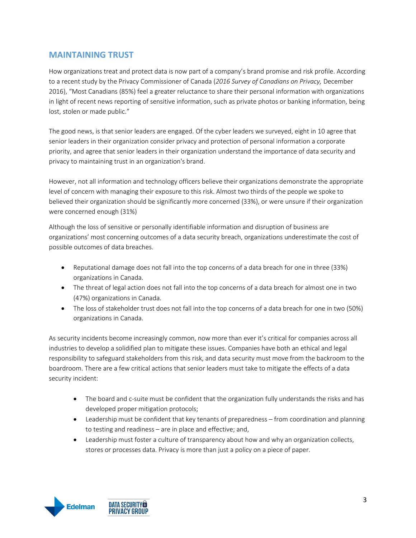# **MAINTAINING TRUST**

How organizations treat and protect data is now part of a company's brand promise and risk profile. According to a recent study by the Privacy Commissioner of Canada (*2016 Survey of Canadians on Privacy,* December 2016), "Most Canadians (85%) feel a greater reluctance to share their personal information with organizations in light of recent news reporting of sensitive information, such as private photos or banking information, being lost, stolen or made public."

The good news, is that senior leaders are engaged. Of the cyber leaders we surveyed, eight in 10 agree that senior leaders in their organization consider privacy and protection of personal information a corporate priority, and agree that senior leaders in their organization understand the importance of data security and privacy to maintaining trust in an organization's brand.

However, not all information and technology officers believe their organizations demonstrate the appropriate level of concern with managing their exposure to this risk. Almost two thirds of the people we spoke to believed their organization should be significantly more concerned (33%), or were unsure if their organization were concerned enough (31%)

Although the loss of sensitive or personally identifiable information and disruption of business are organizations' most concerning outcomes of a data security breach, organizations underestimate the cost of possible outcomes of data breaches.

- Reputational damage does not fall into the top concerns of a data breach for one in three (33%) organizations in Canada.
- The threat of legal action does not fall into the top concerns of a data breach for almost one in two (47%) organizations in Canada.
- The loss of stakeholder trust does not fall into the top concerns of a data breach for one in two (50%) organizations in Canada.

As security incidents become increasingly common, now more than ever it's critical for companies across all industries to develop a solidified plan to mitigate these issues. Companies have both an ethical and legal responsibility to safeguard stakeholders from this risk, and data security must move from the backroom to the boardroom. There are a few critical actions that senior leaders must take to mitigate the effects of a data security incident:

- The board and c-suite must be confident that the organization fully understands the risks and has developed proper mitigation protocols;
- Leadership must be confident that key tenants of preparedness from coordination and planning to testing and readiness – are in place and effective; and,
- Leadership must foster a culture of transparency about how and why an organization collects, stores or processes data. Privacy is more than just a policy on a piece of paper.

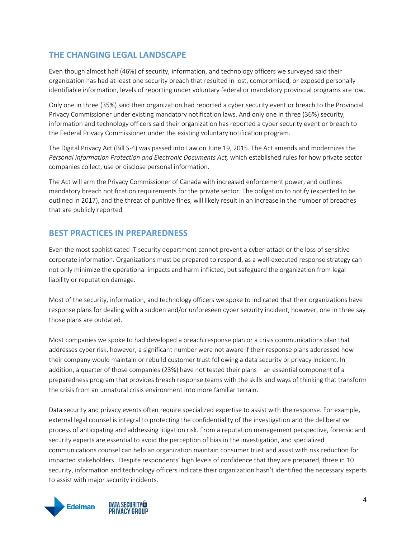# **THE CHANGING LEGAL LANDSCAPE**

Even though almost half (46%) of security, information, and technology officers we surveyed said their organization has had at least one security breach that resulted in lost, compromised, or exposed personally identifiable information, levels of reporting under voluntary federal or mandatory provincial programs are low.

Only one in three (35%) said their organization had reported a cyber security event or breach to the Provincial Privacy Commissioner under existing mandatory notification laws. And only one in three (36%) security, information and technology officers said their organization has reported a cyber security event or breach to the Federal Privacy Commissioner under the existing voluntary notification program.

The Digital Privacy Act (Bill S-4) was passed into Law on June 19, 2015. The Act amends and modernizes the *Personal Information Protection and Electronic Documents Act,* which established rules for how private sector companies collect, use or disclose personal information.

The Act will arm the Privacy Commissioner of Canada with increased enforcement power, and outlines mandatory breach notification requirements for the private sector. The obligation to notify (expected to be outlined in 2017), and the threat of punitive fines, will likely result in an increase in the number of breaches that are publicly reported

# **BEST PRACTICES IN PREPAREDNESS**

Even the most sophisticated IT security department cannot prevent a cyber-attack or the loss of sensitive corporate information. Organizations must be prepared to respond, as a well-executed response strategy can not only minimize the operational impacts and harm inflicted, but safeguard the organization from legal liability or reputation damage.

Most of the security, information, and technology officers we spoke to indicated that their organizations have response plans for dealing with a sudden and/or unforeseen cyber security incident, however, one in three say those plans are outdated.

Most companies we spoke to had developed a breach response plan or a crisis communications plan that addresses cyber risk, however, a significant number were not aware if their response plans addressed how their company would maintain or rebuild customer trust following a data security or privacy incident. In addition, a quarter of those companies (23%) have not tested their plans – an essential component of a preparedness program that provides breach response teams with the skills and ways of thinking that transform the crisis from an unnatural crisis environment into more familiar terrain.

Data security and privacy events often require specialized expertise to assist with the response. For example, external legal counsel is integral to protecting the confidentiality of the investigation and the deliberative process of anticipating and addressing litigation risk. From a reputation management perspective, forensic and security experts are essential to avoid the perception of bias in the investigation, and specialized communications counsel can help an organization maintain consumer trust and assist with risk reduction for impacted stakeholders. Despite respondents' high levels of confidence that they are prepared, three in 10 security, information and technology officers indicate their organization hasn't identified the necessary experts to assist with major security incidents.

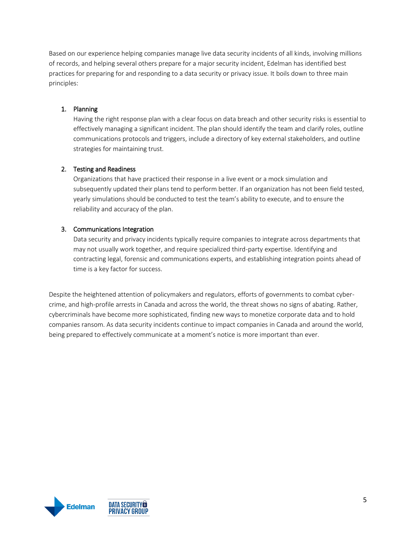Based on our experience helping companies manage live data security incidents of all kinds, involving millions of records, and helping several others prepare for a major security incident, Edelman has identified best practices for preparing for and responding to a data security or privacy issue. It boils down to three main principles:

#### 1. Planning

Having the right response plan with a clear focus on data breach and other security risks is essential to effectively managing a significant incident. The plan should identify the team and clarify roles, outline communications protocols and triggers, include a directory of key external stakeholders, and outline strategies for maintaining trust.

#### 2. Testing and Readiness

Organizations that have practiced their response in a live event or a mock simulation and subsequently updated their plans tend to perform better. If an organization has not been field tested, yearly simulations should be conducted to test the team's ability to execute, and to ensure the reliability and accuracy of the plan.

#### 3. Communications Integration

Data security and privacy incidents typically require companies to integrate across departments that may not usually work together, and require specialized third-party expertise. Identifying and contracting legal, forensic and communications experts, and establishing integration points ahead of time is a key factor for success.

Despite the heightened attention of policymakers and regulators, efforts of governments to combat cybercrime, and high-profile arrests in Canada and across the world, the threat shows no signs of abating. Rather, cybercriminals have become more sophisticated, finding new ways to monetize corporate data and to hold companies ransom. As data security incidents continue to impact companies in Canada and around the world, being prepared to effectively communicate at a moment's notice is more important than ever.